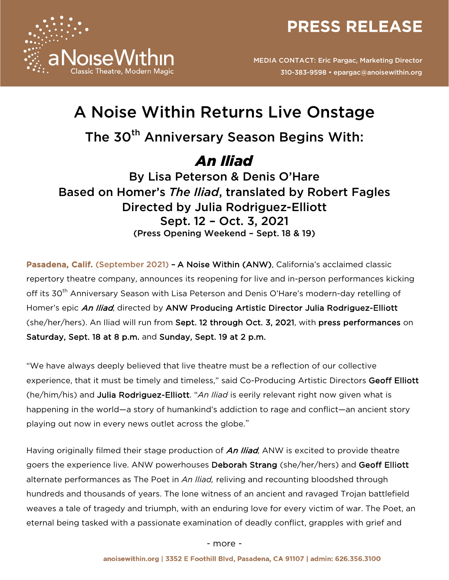



# A Noise Within Returns Live Onstage

## The 30<sup>th</sup> Anniversary Season Begins With:

## *An Iliad*

By Lisa Peterson & Denis O'Hare Based on Homer's *The Iliad*, translated by Robert Fagles Directed by Julia Rodriguez-Elliott Sept. 12 – Oct. 3, 2021 (Press Opening Weekend – Sept. 18 & 19)

Pasadena, Calif. (September 2021) - A Noise Within (ANW), California's acclaimed classic repertory theatre company, announces its reopening for live and in-person performances kicking off its 30<sup>th</sup> Anniversary Season with Lisa Peterson and Denis O'Hare's modern-day retelling of Homer's epic An Iliad, directed by ANW Producing Artistic Director Julia Rodriguez-Elliott (she/her/hers). An Iliad will run from Sept. 12 through Oct. 3, 2021, with press performances on Saturday, Sept. 18 at 8 p.m. and Sunday, Sept. 19 at 2 p.m.

"We have always deeply believed that live theatre must be a reflection of our collective experience, that it must be timely and timeless," said Co-Producing Artistic Directors Geoff Elliott (he/him/his) and Julia Rodriguez-Elliott. "*An Iliad* is eerily relevant right now given what is happening in the world—a story of humankind's addiction to rage and conflict—an ancient story playing out now in every news outlet across the globe."

Having originally filmed their stage production of An Iliad, ANW is excited to provide theatre goers the experience live. ANW powerhouses Deborah Strang (she/her/hers) and Geoff Elliott alternate performances as The Poet in *An Iliad,* reliving and recounting bloodshed through hundreds and thousands of years. The lone witness of an ancient and ravaged Trojan battlefield weaves a tale of tragedy and triumph, with an enduring love for every victim of war. The Poet, an eternal being tasked with a passionate examination of deadly conflict, grapples with grief and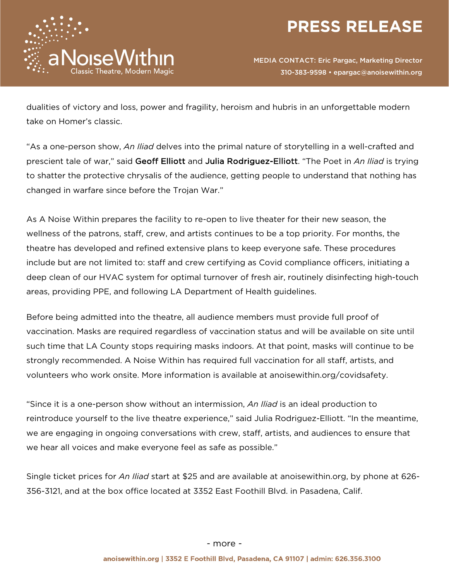



dualities of victory and loss, power and fragility, heroism and hubris in an unforgettable modern take on Homer's classic.

"As a one-person show, *An Iliad* delves into the primal nature of storytelling in a well-crafted and prescient tale of war," said Geoff Elliott and Julia Rodriguez-Elliott. "The Poet in *An Iliad* is trying to shatter the protective chrysalis of the audience, getting people to understand that nothing has changed in warfare since before the Trojan War."

As A Noise Within prepares the facility to re-open to live theater for their new season, the wellness of the patrons, staff, crew, and artists continues to be a top priority. For months, the theatre has developed and refined extensive plans to keep everyone safe. These procedures include but are not limited to: staff and crew certifying as Covid compliance officers, initiating a deep clean of our HVAC system for optimal turnover of fresh air, routinely disinfecting high-touch areas, providing PPE, and following LA Department of Health guidelines.

Before being admitted into the theatre, all audience members must provide full proof of vaccination. Masks are required regardless of vaccination status and will be available on site until such time that LA County stops requiring masks indoors. At that point, masks will continue to be strongly recommended. A Noise Within has required full vaccination for all staff, artists, and volunteers who work onsite. More information is available at anoisewithin.org/covidsafety.

"Since it is a one-person show without an intermission, *An Iliad* is an ideal production to reintroduce yourself to the live theatre experience," said Julia Rodriguez-Elliott. "In the meantime, we are engaging in ongoing conversations with crew, staff, artists, and audiences to ensure that we hear all voices and make everyone feel as safe as possible."

Single ticket prices for *An Iliad* start at \$25 and are available at anoisewithin.org, by phone at 626- 356-3121, and at the box office located at 3352 East Foothill Blvd. in Pasadena, Calif.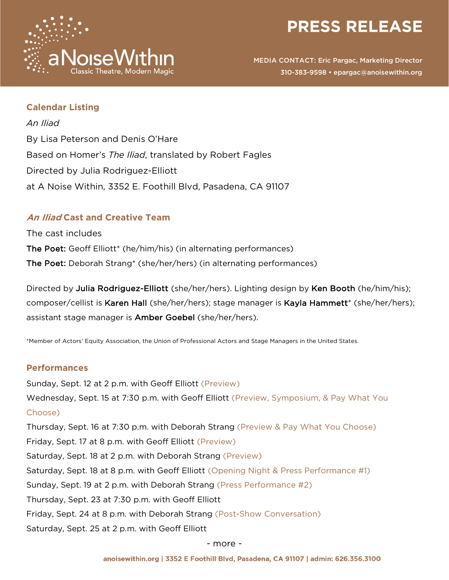



## **Calendar Listing**

*An Iliad* By Lisa Peterson and Denis O'Hare Based on Homer's *The Iliad*, translated by Robert Fagles Directed by Julia Rodriguez-Elliott at A Noise Within, 3352 E. Foothill Blvd, Pasadena, CA 91107

## **An Iliad Cast and Creative Team**

The cast includes The Poet: Geoff Elliott\* (he/him/his) (in alternating performances) The Poet: Deborah Strang\* (she/her/hers) (in alternating performances)

Directed by Julia Rodriguez-Elliott (she/her/hers). Lighting design by Ken Booth (he/him/his); composer/cellist is Karen Hall (she/her/hers); stage manager is Kayla Hammett\* (she/her/hers); assistant stage manager is Amber Goebel (she/her/hers).

\*Member of Actors' Equity Association, the Union of Professional Actors and Stage Managers in the United States.

## **Performances**

Sunday, Sept. 12 at 2 p.m. with Geoff Elliott (Preview) Wednesday, Sept. 15 at 7:30 p.m. with Geoff Elliott (Preview, Symposium, & Pay What You Choose) Thursday, Sept. 16 at 7:30 p.m. with Deborah Strang (Preview & Pay What You Choose) Friday, Sept. 17 at 8 p.m. with Geoff Elliott (Preview) Saturday, Sept. 18 at 2 p.m. with Deborah Strang (Preview) Saturday, Sept. 18 at 8 p.m. with Geoff Elliott (Opening Night & Press Performance #1) Sunday, Sept. 19 at 2 p.m. with Deborah Strang (Press Performance #2) Thursday, Sept. 23 at 7:30 p.m. with Geoff Elliott Friday, Sept. 24 at 8 p.m. with Deborah Strang (Post-Show Conversation) Saturday, Sept. 25 at 2 p.m. with Geoff Elliott

#### - more -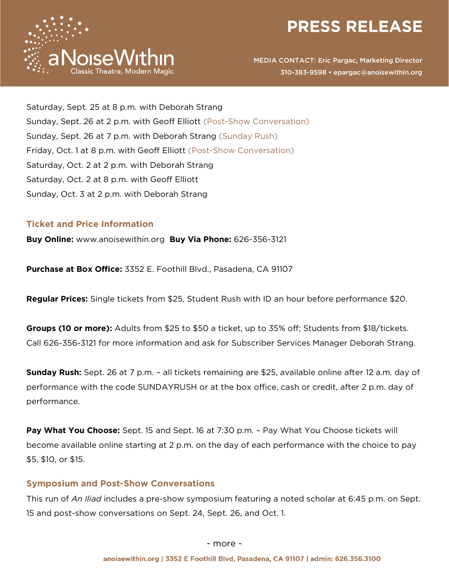



Saturday, Sept. 25 at 8 p.m. with Deborah Strang Sunday, Sept. 26 at 2 p.m. with Geoff Elliott (Post-Show Conversation) Sunday, Sept. 26 at 7 p.m. with Deborah Strang (Sunday Rush) Friday, Oct. 1 at 8 p.m. with Geoff Elliott (Post-Show Conversation) Saturday, Oct. 2 at 2 p.m. with Deborah Strang Saturday, Oct. 2 at 8 p.m. with Geoff Elliott Sunday, Oct. 3 at 2 p.m. with Deborah Strang

### **Ticket and Price Information**

**Buy Online:** www.anoisewithin.org **Buy Via Phone:** 626-356-3121

**Purchase at Box Office:** 3352 E. Foothill Blvd., Pasadena, CA 91107

**Regular Prices:** Single tickets from \$25, Student Rush with ID an hour before performance \$20.

**Groups (10 or more):** Adults from \$25 to \$50 a ticket, up to 35% off; Students from \$18/tickets. Call 626-356-3121 for more information and ask for Subscriber Services Manager Deborah Strang.

**Sunday Rush:** Sept. 26 at 7 p.m. – all tickets remaining are \$25, available online after 12 a.m. day of performance with the code SUNDAYRUSH or at the box office, cash or credit, after 2 p.m. day of performance.

**Pay What You Choose:** Sept. 15 and Sept. 16 at 7:30 p.m. – Pay What You Choose tickets will become available online starting at 2 p.m. on the day of each performance with the choice to pay \$5, \$10, or \$15.

### **Symposium and Post-Show Conversations**

This run of *An Iliad* includes a pre-show symposium featuring a noted scholar at 6:45 p.m. on Sept. 15 and post-show conversations on Sept. 24, Sept. 26, and Oct. 1.

- more -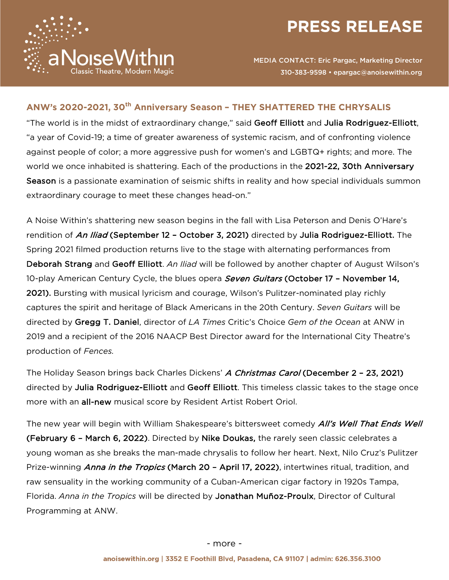



## **ANW's 2020-2021, 30th Anniversary Season – THEY SHATTERED THE CHRYSALIS**

"The world is in the midst of extraordinary change," said Geoff Elliott and Julia Rodriguez-Elliott, "a year of Covid-19; a time of greater awareness of systemic racism, and of confronting violence against people of color; a more aggressive push for women's and LGBTQ+ rights; and more. The world we once inhabited is shattering. Each of the productions in the 2021-22, 30th Anniversary Season is a passionate examination of seismic shifts in reality and how special individuals summon extraordinary courage to meet these changes head-on."

A Noise Within's shattering new season begins in the fall with Lisa Peterson and Denis O'Hare's rendition of An Iliad (September 12 - October 3, 2021) directed by Julia Rodriguez-Elliott. The Spring 2021 filmed production returns live to the stage with alternating performances from Deborah Strang and Geoff Elliott. *An Iliad* will be followed by another chapter of August Wilson's 10-play American Century Cycle, the blues opera *Seven Guitars* (October 17 - November 14, 2021). Bursting with musical lyricism and courage, Wilson's Pulitzer-nominated play richly captures the spirit and heritage of Black Americans in the 20th Century. *Seven Guitars* will be directed by Gregg T. Daniel, director of *LA Times* Critic's Choice *Gem of the Ocean* at ANW in 2019 and a recipient of the 2016 NAACP Best Director award for the International City Theatre's production of *Fences.*

The Holiday Season brings back Charles Dickens' A Christmas Carol (December 2 - 23, 2021) directed by Julia Rodriguez-Elliott and Geoff Elliott. This timeless classic takes to the stage once more with an all-new musical score by Resident Artist Robert Oriol.

The new year will begin with William Shakespeare's bittersweet comedy *All's Well That Ends Well* (February 6 – March 6, 2022). Directed by Nike Doukas, the rarely seen classic celebrates a young woman as she breaks the man-made chrysalis to follow her heart. Next, Nilo Cruz's Pulitzer Prize-winning *Anna in the Tropics* (March 20 - April 17, 2022), intertwines ritual, tradition, and raw sensuality in the working community of a Cuban-American cigar factory in 1920s Tampa, Florida. *Anna in the Tropics* will be directed by Jonathan Muñoz-Proulx, Director of Cultural Programming at ANW.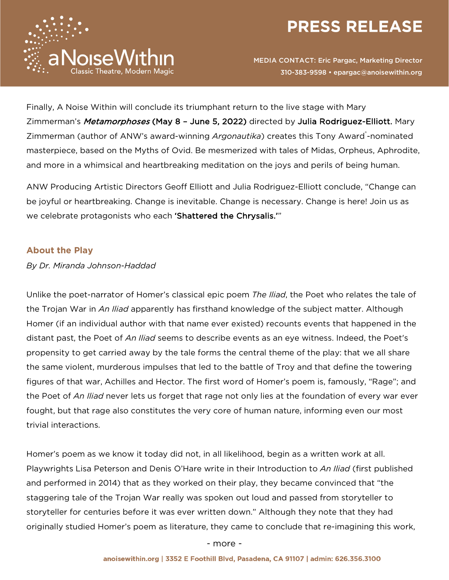



Finally, A Noise Within will conclude its triumphant return to the live stage with Mary Zimmerman's Metamorphoses (May 8 - June 5, 2022) directed by Julia Rodriguez-Elliott. Mary Zimmerman (author of ANW's award-winning Argonautika) creates this Tony Award<sup>®</sup>-nominated masterpiece, based on the Myths of Ovid. Be mesmerized with tales of Midas, Orpheus, Aphrodite, and more in a whimsical and heartbreaking meditation on the joys and perils of being human.

ANW Producing Artistic Directors Geoff Elliott and Julia Rodriguez-Elliott conclude, "Change can be joyful or heartbreaking. Change is inevitable. Change is necessary. Change is here! Join us as we celebrate protagonists who each 'Shattered the Chrysalis.'"

## **About the Play**

*By Dr. Miranda Johnson-Haddad*

Unlike the poet-narrator of Homer's classical epic poem *The Iliad*, the Poet who relates the tale of the Trojan War in *An Iliad* apparently has firsthand knowledge of the subject matter. Although Homer (if an individual author with that name ever existed) recounts events that happened in the distant past, the Poet of *An Iliad* seems to describe events as an eye witness. Indeed, the Poet's propensity to get carried away by the tale forms the central theme of the play: that we all share the same violent, murderous impulses that led to the battle of Troy and that define the towering figures of that war, Achilles and Hector. The first word of Homer's poem is, famously, "Rage"; and the Poet of *An Iliad* never lets us forget that rage not only lies at the foundation of every war ever fought, but that rage also constitutes the very core of human nature, informing even our most trivial interactions.

Homer's poem as we know it today did not, in all likelihood, begin as a written work at all. Playwrights Lisa Peterson and Denis O'Hare write in their Introduction to *An Iliad* (first published and performed in 2014) that as they worked on their play, they became convinced that "the staggering tale of the Trojan War really was spoken out loud and passed from storyteller to storyteller for centuries before it was ever written down." Although they note that they had originally studied Homer's poem as literature, they came to conclude that re-imagining this work,

- more -